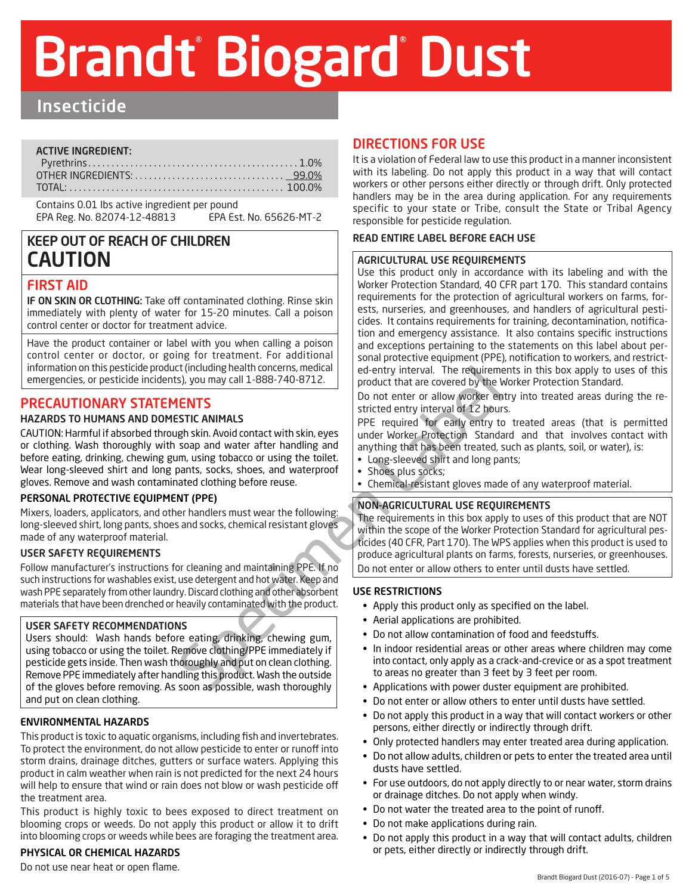# Brandt Biogard Dust

# Insecticide

#### ACTIVE INGREDIENT:

Contains 0.01 lbs active ingredient per pound EPA Reg. No. 82074-12-48813 EPA Est. No. 65626-MT-2

# KEEP OUT OF REACH OF CHILDREN CAUTION

## FIRST AID

IF ON SKIN OR CLOTHING: Take off contaminated clothing. Rinse skin immediately with plenty of water for 15-20 minutes. Call a poison control center or doctor for treatment advice.

Have the product container or label with you when calling a poison control center or doctor, or going for treatment. For additional information on this pesticide product (including health concerns, medical emergencies, or pesticide incidents), you may call 1-888-740-8712.

# PRECAUTIONARY STATEMENTS

#### HAZARDS TO HUMANS AND DOMESTIC ANIMALS

CONTINUIS (CONTROLL TO the motel of the total of the second by the political product that are covered by the specific stricted entry interval of 12 hours.<br>
SPEC RANIMALS<br>
SPEC required for early entry the coverage by the s CAUTION: Harmful if absorbed through skin. Avoid contact with skin, eyes or clothing. Wash thoroughly with soap and water after handling and before eating, drinking, chewing gum, using tobacco or using the toilet. Wear long-sleeved shirt and long pants, socks, shoes, and waterproof gloves. Remove and wash contaminated clothing before reuse.

#### PERSONAL PROTECTIVE EQUIPMENT (PPE)

Mixers, loaders, applicators, and other handlers must wear the following: long-sleeved shirt, long pants, shoes and socks, chemical resistant gloves made of any waterproof material.

#### USER SAFETY REQUIREMENTS

Follow manufacturer's instructions for cleaning and maintaining PPE. If no such instructions for washables exist, use detergent and hot water. Keep and wash PPE separately from other laundry. Discard clothing and other absorbent materials that have been drenched or heavily contaminated with the product.

#### USER SAFETY RECOMMENDATIONS

Users should: Wash hands before eating, drinking, chewing gum, using tobacco or using the toilet. Remove clothing/PPE immediately if pesticide gets inside. Then wash thoroughly and put on clean clothing. Remove PPE immediately after handling this product. Wash the outside of the gloves before removing. As soon as possible, wash thoroughly and put on clean clothing.

#### ENVIRONMENTAL HAZARDS

This product is toxic to aquatic organisms, including fish and invertebrates. To protect the environment, do not allow pesticide to enter or runoff into storm drains, drainage ditches, gutters or surface waters. Applying this product in calm weather when rain is not predicted for the next 24 hours will help to ensure that wind or rain does not blow or wash pesticide off the treatment area.

This product is highly toxic to bees exposed to direct treatment on blooming crops or weeds. Do not apply this product or allow it to drift into blooming crops or weeds while bees are foraging the treatment area.

#### PHYSICAL OR CHEMICAL HAZARDS

Do not use near heat or open flame.

## DIRECTIONS FOR USE

It is a violation of Federal law to use this product in a manner inconsistent with its labeling. Do not apply this product in a way that will contact workers or other persons either directly or through drift. Only protected handlers may be in the area during application. For any requirements specific to your state or Tribe, consult the State or Tribal Agency responsible for pesticide regulation.

#### READ ENTIRE LABEL BEFORE EACH USE

#### AGRICULTURAL USE REQUIREMENTS

Use this product only in accordance with its labeling and with the Worker Protection Standard, 40 CFR part 170. This standard contains requirements for the protection of agricultural workers on farms, forests, nurseries, and greenhouses, and handlers of agricultural pesticides. It contains requirements for training, decontamination, notification and emergency assistance. It also contains specific instructions and exceptions pertaining to the statements on this label about personal protective equipment (PPE), notification to workers, and restricted-entry interval. The requirements in this box apply to uses of this product that are covered by the Worker Protection Standard.

Do not enter or allow worker entry into treated areas during the restricted entry interval of 12 hours.

PPE required for early entry to treated areas (that is permitted under Worker Protection Standard and that involves contact with anything that has been treated, such as plants, soil, or water), is:

- Long-sleeved shirt and long pants;
- Shoes plus socks;
- Chemical-resistant gloves made of any waterproof material.

#### NON-AGRICULTURAL USE REQUIREMENTS

The requirements in this box apply to uses of this product that are NOT within the scope of the Worker Protection Standard for agricultural pesticides (40 CFR, Part 170). The WPS applies when this product is used to produce agricultural plants on farms, forests, nurseries, or greenhouses. Do not enter or allow others to enter until dusts have settled.

#### USE RESTRICTIONS

- Apply this product only as specified on the label.
- Aerial applications are prohibited.
- Do not allow contamination of food and feedstuffs.
- In indoor residential areas or other areas where children may come into contact, only apply as a crack-and-crevice or as a spot treatment to areas no greater than 3 feet by 3 feet per room.
- Applications with power duster equipment are prohibited.
- Do not enter or allow others to enter until dusts have settled.
- Do not apply this product in a way that will contact workers or other persons, either directly or indirectly through drift.
- Only protected handlers may enter treated area during application.
- Do not allow adults, children or pets to enter the treated area until dusts have settled.
- For use outdoors, do not apply directly to or near water, storm drains or drainage ditches. Do not apply when windy.
- Do not water the treated area to the point of runoff.
- Do not make applications during rain.
- Do not apply this product in a way that will contact adults, children or pets, either directly or indirectly through drift.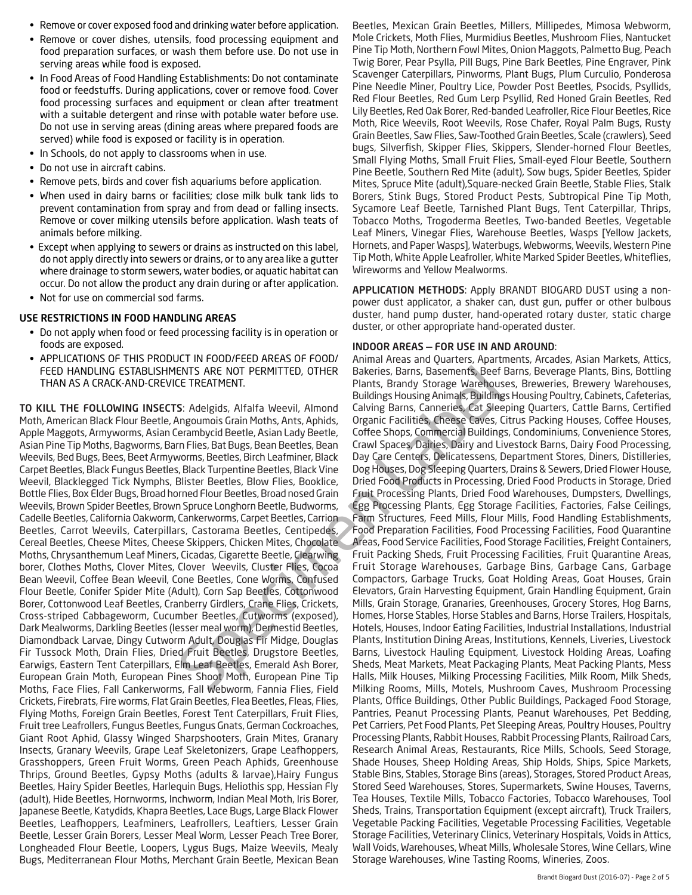- Remove or cover exposed food and drinking water before application.
- Remove or cover dishes, utensils, food processing equipment and food preparation surfaces, or wash them before use. Do not use in serving areas while food is exposed.
- In Food Areas of Food Handling Establishments: Do not contaminate food or feedstuffs. During applications, cover or remove food. Cover food processing surfaces and equipment or clean after treatment with a suitable detergent and rinse with potable water before use. Do not use in serving areas (dining areas where prepared foods are served) while food is exposed or facility is in operation.
- In Schools, do not apply to classrooms when in use.
- Do not use in aircraft cabins.
- Remove pets, birds and cover fish aquariums before application.
- When used in dairy barns or facilities; close milk bulk tank lids to prevent contamination from spray and from dead or falling insects. Remove or cover milking utensils before application. Wash teats of animals before milking.
- Except when applying to sewers or drains as instructed on this label, do not apply directly into sewers or drains, or to any area like a gutter where drainage to storm sewers, water bodies, or aquatic habitat can occur. Do not allow the product any drain during or after application.
- Not for use on commercial sod farms.

#### USE RESTRICTIONS IN FOOD HANDLING AREAS

- Do not apply when food or feed processing facility is in operation or foods are exposed.
- APPLICATIONS OF THIS PRODUCT IN FOOD/FEED AREAS OF FOOD/ FEED HANDLING ESTABLISHMENTS ARE NOT PERMITTED, OTHER THAN AS A CRACK-AND-CREVICE TREATMENT.

TO KILL THE FOLLOWING INSECTS: Adelgids, Alfalfa Weevil, Almond Moth, American Black Flour Beetle, Angoumois Grain Moths, Ants, Aphids, Apple Maggots, Armyworms, Asian Cerambycid Beetle, Asian Lady Beetle, Asian Pine Tip Moths, Bagworms, Barn Flies, Bat Bugs, Bean Beetles, Bean Weevils, Bed Bugs, Bees, Beet Armyworms, Beetles, Birch Leafminer, Black Carpet Beetles, Black Fungus Beetles, Black Turpentine Beetles, Black Vine Weevil, Blacklegged Tick Nymphs, Blister Beetles, Blow Flies, Booklice, Bottle Flies, Box Elder Bugs, Broad horned Flour Beetles, Broad nosed Grain Weevils, Brown Spider Beetles, Brown Spruce Longhorn Beetle, Budworms, Cadelle Beetles, California Oakworm, Cankerworms, Carpet Beetles, Carrion Beetles, Carrot Weevils, Caterpillars, Castorama Beetles, Centipedes, Cereal Beetles, Cheese Mites, Cheese Skippers, Chicken Mites, Chocolate Moths, Chrysanthemum Leaf Miners, Cicadas, Cigarette Beetle, Clearwing borer, Clothes Moths, Clover Mites, Clover Weevils, Cluster Flies, Cocoa Bean Weevil, Coffee Bean Weevil, Cone Beetles, Cone Worms, Confused Flour Beetle, Conifer Spider Mite (Adult), Corn Sap Beetles, Cottonwood Borer, Cottonwood Leaf Beetles, Cranberry Girdlers, Crane Flies, Crickets, Cross-striped Cabbageworm, Cucumber Beetles, Cutworms (exposed), Dark Mealworms, Darkling Beetles (lesser meal worm), Dermestid Beetles, Diamondback Larvae, Dingy Cutworm Adult, Douglas Fir Midge, Douglas Fir Tussock Moth, Drain Flies, Dried Fruit Beetles, Drugstore Beetles, Earwigs, Eastern Tent Caterpillars, Elm Leaf Beetles, Emerald Ash Borer, European Grain Moth, European Pines Shoot Moth, European Pine Tip Moths, Face Flies, Fall Cankerworms, Fall Webworm, Fannia Flies, Field Crickets, Firebrats, Fire worms, Flat Grain Beetles, Flea Beetles, Fleas, Flies, Flying Moths, Foreign Grain Beetles, Forest Tent Caterpillars, Fruit Flies, Fruit tree Leafrollers, Fungus Beetles, Fungus Gnats, German Cockroaches, Giant Root Aphid, Glassy Winged Sharpshooters, Grain Mites, Granary Insects, Granary Weevils, Grape Leaf Skeletonizers, Grape Leafhoppers, Grasshoppers, Green Fruit Worms, Green Peach Aphids, Greenhouse Thrips, Ground Beetles, Gypsy Moths (adults & larvae),Hairy Fungus Beetles, Hairy Spider Beetles, Harlequin Bugs, Heliothis spp, Hessian Fly (adult), Hide Beetles, Hornworms, Inchworm, Indian Meal Moth, Iris Borer, Japanese Beetle, Katydids, Khapra Beetles, Lace Bugs, Large Black Flower Beetles, Leafhoppers, Leafminers, Leafrollers, Leaftiers, Lesser Grain Beetle, Lesser Grain Borers, Lesser Meal Worm, Lesser Peach Tree Borer, Longheaded Flour Beetle, Loopers, Lygus Bugs, Maize Weevils, Mealy Bugs, Mediterranean Flour Moths, Merchant Grain Beetle, Mexican Bean

Beetles, Mexican Grain Beetles, Millers, Millipedes, Mimosa Webworm, Mole Crickets, Moth Flies, Murmidius Beetles, Mushroom Flies, Nantucket Pine Tip Moth, Northern Fowl Mites, Onion Maggots, Palmetto Bug, Peach Twig Borer, Pear Psylla, Pill Bugs, Pine Bark Beetles, Pine Engraver, Pink Scavenger Caterpillars, Pinworms, Plant Bugs, Plum Curculio, Ponderosa Pine Needle Miner, Poultry Lice, Powder Post Beetles, Psocids, Psyllids, Red Flour Beetles, Red Gum Lerp Psyllid, Red Honed Grain Beetles, Red Lily Beetles, Red Oak Borer, Red-banded Leafroller, Rice Flour Beetles, Rice Moth, Rice Weevils, Root Weevils, Rose Chafer, Royal Palm Bugs, Rusty Grain Beetles, Saw Flies, Saw-Toothed Grain Beetles, Scale (crawlers), Seed bugs, Silverfish, Skipper Flies, Skippers, Slender-horned Flour Beetles, Small Flying Moths, Small Fruit Flies, Small-eyed Flour Beetle, Southern Pine Beetle, Southern Red Mite (adult), Sow bugs, Spider Beetles, Spider Mites, Spruce Mite (adult),Square-necked Grain Beetle, Stable Flies, Stalk Borers, Stink Bugs, Stored Product Pests, Subtropical Pine Tip Moth, Sycamore Leaf Beetle, Tarnished Plant Bugs, Tent Caterpillar, Thrips, Tobacco Moths, Trogoderma Beetles, Two-banded Beetles, Vegetable Leaf Miners, Vinegar Flies, Warehouse Beetles, Wasps [Yellow Jackets, Hornets, and Paper Wasps], Waterbugs, Webworms, Weevils, Western Pine Tip Moth, White Apple Leafroller, White Marked Spider Beetles, Whiteflies, Wireworms and Yellow Mealworms.

APPLICATION METHODS: Apply BRANDT BIOGARD DUST using a nonpower dust applicator, a shaker can, dust gun, puffer or other bulbous duster, hand pump duster, hand-operated rotary duster, static charge duster, or other appropriate hand-operated duster.

#### INDOOR AREAS — FOR USE IN AND AROUND:

ENTS ARE NOT PERMITTED, OTHER<br>
Plants, Brandy Storage Warehous,<br>
ECE TREATMENT.<br>
Plants, Brandy Storage Warehous:<br>
S: Adelgids, Alfalfa Weevil, Almond Calving Barns, Canneries, Cat Slee<br>
Renoposions Grain Moths, Ants, Aphi Animal Areas and Quarters, Apartments, Arcades, Asian Markets, Attics, Bakeries, Barns, Basements, Beef Barns, Beverage Plants, Bins, Bottling Plants, Brandy Storage Warehouses, Breweries, Brewery Warehouses, Buildings Housing Animals, Buildings Housing Poultry, Cabinets, Cafeterias, Calving Barns, Canneries, Cat Sleeping Quarters, Cattle Barns, Certified Organic Facilities, Cheese Caves, Citrus Packing Houses, Coffee Houses, Coffee Shops, Commercial Buildings, Condominiums, Convenience Stores, Crawl Spaces, Dairies, Dairy and Livestock Barns, Dairy Food Processing, Day Care Centers, Delicatessens, Department Stores, Diners, Distilleries, Dog Houses, Dog Sleeping Quarters, Drains & Sewers, Dried Flower House, Dried Food Products in Processing, Dried Food Products in Storage, Dried Fruit Processing Plants, Dried Food Warehouses, Dumpsters, Dwellings, Egg Processing Plants, Egg Storage Facilities, Factories, False Ceilings, Farm Structures, Feed Mills, Flour Mills, Food Handling Establishments, Food Preparation Facilities, Food Processing Facilities, Food Quarantine Areas, Food Service Facilities, Food Storage Facilities, Freight Containers, Fruit Packing Sheds, Fruit Processing Facilities, Fruit Quarantine Areas, Fruit Storage Warehouses, Garbage Bins, Garbage Cans, Garbage Compactors, Garbage Trucks, Goat Holding Areas, Goat Houses, Grain Elevators, Grain Harvesting Equipment, Grain Handling Equipment, Grain Mills, Grain Storage, Granaries, Greenhouses, Grocery Stores, Hog Barns, Homes, Horse Stables, Horse Stables and Barns, Horse Trailers, Hospitals, Hotels, Houses, Indoor Eating Facilities, Industrial Installations, Industrial Plants, Institution Dining Areas, Institutions, Kennels, Liveries, Livestock Barns, Livestock Hauling Equipment, Livestock Holding Areas, Loafing Sheds, Meat Markets, Meat Packaging Plants, Meat Packing Plants, Mess Halls, Milk Houses, Milking Processing Facilities, Milk Room, Milk Sheds, Milking Rooms, Mills, Motels, Mushroom Caves, Mushroom Processing Plants, Office Buildings, Other Public Buildings, Packaged Food Storage, Pantries, Peanut Processing Plants, Peanut Warehouses, Pet Bedding, Pet Carriers, Pet Food Plants, Pet Sleeping Areas, Poultry Houses, Poultry Processing Plants, Rabbit Houses, Rabbit Processing Plants, Railroad Cars, Research Animal Areas, Restaurants, Rice Mills, Schools, Seed Storage, Shade Houses, Sheep Holding Areas, Ship Holds, Ships, Spice Markets, Stable Bins, Stables, Storage Bins (areas), Storages, Stored Product Areas, Stored Seed Warehouses, Stores, Supermarkets, Swine Houses, Taverns, Tea Houses, Textile Mills, Tobacco Factories, Tobacco Warehouses, Tool Sheds, Trains, Transportation Equipment (except aircraft), Truck Trailers, Vegetable Packing Facilities, Vegetable Processing Facilities, Vegetable Storage Facilities, Veterinary Clinics, Veterinary Hospitals, Voids in Attics, Wall Voids, Warehouses, Wheat Mills, Wholesale Stores, Wine Cellars, Wine Storage Warehouses, Wine Tasting Rooms, Wineries, Zoos.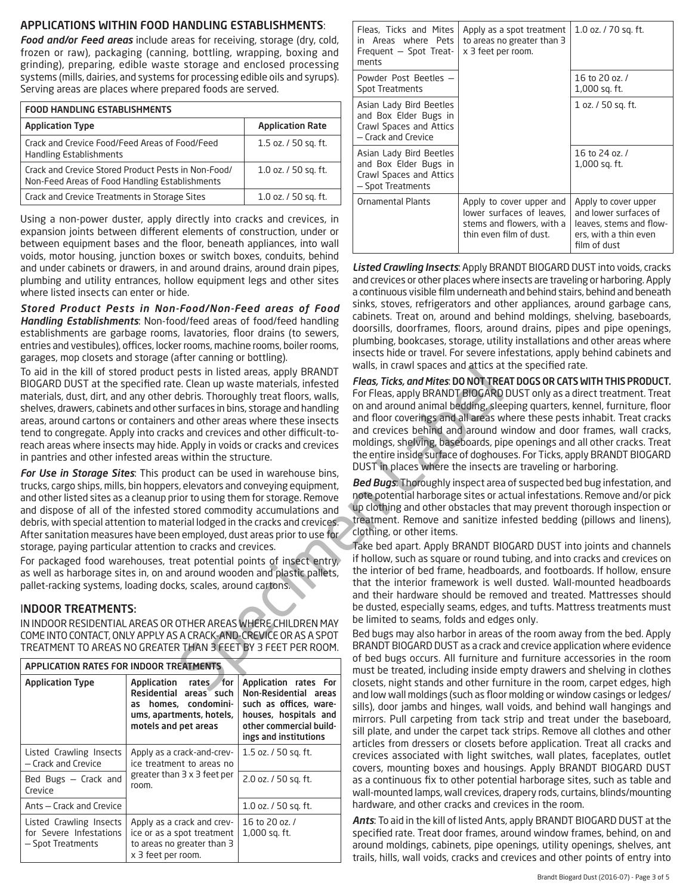#### APPLICATIONS WITHIN FOOD HANDLING ESTABLISHMENTS:

*Food and/or Feed areas* include areas for receiving, storage (dry, cold, frozen or raw), packaging (canning, bottling, wrapping, boxing and grinding), preparing, edible waste storage and enclosed processing systems (mills, dairies, and systems for processing edible oils and syrups). Serving areas are places where prepared foods are served.

| <b>FOOD HANDLING ESTABLISHMENTS</b>                                                                   |                          |  |
|-------------------------------------------------------------------------------------------------------|--------------------------|--|
| <b>Application Type</b>                                                                               | <b>Application Rate</b>  |  |
| Crack and Crevice Food/Feed Areas of Food/Feed<br><b>Handling Establishments</b>                      | 1.5 oz. / 50 sq. ft.     |  |
| Crack and Crevice Stored Product Pests in Non-Food/<br>Non-Feed Areas of Food Handling Establishments | $1.0$ oz. $/$ 50 sq. ft. |  |
| Crack and Crevice Treatments in Storage Sites                                                         | 1.0 oz. / 50 sq. ft.     |  |

Using a non-power duster, apply directly into cracks and crevices, in expansion joints between different elements of construction, under or between equipment bases and the floor, beneath appliances, into wall voids, motor housing, junction boxes or switch boxes, conduits, behind and under cabinets or drawers, in and around drains, around drain pipes, plumbing and utility entrances, hollow equipment legs and other sites where listed insects can enter or hide.

*Stored Product Pests in Non-Food/Non-Feed areas of Food Handling Establishments*: Non-food/feed areas of food/feed handling establishments are garbage rooms, lavatories, floor drains (to sewers, entries and vestibules), offices, locker rooms, machine rooms, boiler rooms, garages, mop closets and storage (after canning or bottling).

pests in listed areas, apply BRANDT<br>
E. Clean up walls, in teams pare and antise and articles. Thoroughly treat floors, models, inferent areas, then<br>
the birst, conditions and the secure these insects and around animal bed To aid in the kill of stored product pests in listed areas, apply BRANDT BIOGARD DUST at the specified rate. Clean up waste materials, infested materials, dust, dirt, and any other debris. Thoroughly treat floors, walls, shelves, drawers, cabinets and other surfaces in bins, storage and handling areas, around cartons or containers and other areas where these insects tend to congregate. Apply into cracks and crevices and other difficult-toreach areas where insects may hide. Apply in voids or cracks and crevices in pantries and other infested areas within the structure.

*For Use in Storage Sites*: This product can be used in warehouse bins, trucks, cargo ships, mills, bin hoppers, elevators and conveying equipment, and other listed sites as a cleanup prior to using them for storage. Remove and dispose of all of the infested stored commodity accumulations and debris, with special attention to material lodged in the cracks and crevices. After sanitation measures have been employed, dust areas prior to use for storage, paying particular attention to cracks and crevices.

For packaged food warehouses, treat potential points of insect entry, as well as harborage sites in, on and around wooden and plastic pallets, pallet-racking systems, loading docks, scales, around cartons.

#### INDOOR TREATMENTS:

IN INDOOR RESIDENTIAL AREAS OR OTHER AREAS WHERE CHILDREN MAY COME INTO CONTACT, ONLY APPLY AS A CRACK-AND-CREVICE OR AS A SPOT TREATMENT TO AREAS NO GREATER THAN 3 FEET BY 3 FEET PER ROOM.

| APPLICATION RATES FOR INDOOR TREATMENTS                                 |                                                                                                                                       |                                                                                                                                                       |
|-------------------------------------------------------------------------|---------------------------------------------------------------------------------------------------------------------------------------|-------------------------------------------------------------------------------------------------------------------------------------------------------|
| <b>Application Type</b>                                                 | Application rates<br><b>for</b><br>Residential areas such<br>as homes, condomini-<br>ums, apartments, hotels,<br>motels and pet areas | Application rates For<br>Non-Residential areas<br>such as offices, ware-<br>houses, hospitals and<br>other commercial build-<br>ings and institutions |
| Listed Crawling Insects<br>- Crack and Crevice                          | Apply as a crack-and-crev-<br>ice treatment to areas no                                                                               | 1.5 oz. / 50 sq. ft.                                                                                                                                  |
| Bed Bugs - Crack and<br>Crevice                                         | greater than $3 \times 3$ feet per<br>room.                                                                                           | 2.0 oz. / 50 sq. ft.                                                                                                                                  |
| Ants – Crack and Crevice                                                |                                                                                                                                       | 1.0 oz. / 50 sq. ft.                                                                                                                                  |
| Listed Crawling Insects<br>for Severe Infestations<br>- Spot Treatments | Apply as a crack and crev-<br>ice or as a spot treatment<br>to areas no greater than 3<br>x 3 feet per room.                          | 16 to 20 oz. /<br>1,000 sq. ft.                                                                                                                       |

| Fleas, Ticks and Mites<br>in Areas where Pets<br>Frequent - Spot Treat-<br>ments                   | Apply as a spot treatment<br>to areas no greater than 3<br>x 3 feet per room.                                 | 1.0 oz. / 70 sq. ft.                                                                                              |
|----------------------------------------------------------------------------------------------------|---------------------------------------------------------------------------------------------------------------|-------------------------------------------------------------------------------------------------------------------|
| Powder Post Beetles -<br><b>Spot Treatments</b>                                                    |                                                                                                               | 16 to 20 oz. /<br>1,000 sq. ft.                                                                                   |
| Asian Lady Bird Beetles<br>and Box Elder Bugs in<br>Crawl Spaces and Attics<br>- Crack and Crevice |                                                                                                               | 1 oz. / 50 sq. ft.                                                                                                |
| Asian Lady Bird Beetles<br>and Box Elder Bugs in<br>Crawl Spaces and Attics<br>- Spot Treatments   |                                                                                                               | 16 to 24 oz. /<br>1,000 sq. ft.                                                                                   |
| <b>Ornamental Plants</b>                                                                           | Apply to cover upper and<br>lower surfaces of leaves,<br>stems and flowers, with a<br>thin even film of dust. | Apply to cover upper<br>and lower surfaces of<br>leaves, stems and flow-<br>ers, with a thin even<br>film of dust |

*Listed Crawling Insects*: Apply BRANDT BIOGARD DUST into voids, cracks and crevices or other places where insects are traveling or harboring. Apply a continuous visible film underneath and behind stairs, behind and beneath sinks, stoves, refrigerators and other appliances, around garbage cans, cabinets. Treat on, around and behind moldings, shelving, baseboards, doorsills, doorframes, floors, around drains, pipes and pipe openings, plumbing, bookcases, storage, utility installations and other areas where insects hide or travel. For severe infestations, apply behind cabinets and walls, in crawl spaces and attics at the specified rate.

*Fleas, Ticks, and Mites*: DO NOT TREAT DOGS OR CATS WITH THIS PRODUCT. For Fleas, apply BRANDT BIOGARD DUST only as a direct treatment. Treat on and around animal bedding, sleeping quarters, kennel, furniture, floor and floor coverings and all areas where these pests inhabit. Treat cracks and crevices behind and around window and door frames, wall cracks, moldings, shelving, baseboards, pipe openings and all other cracks. Treat the entire inside surface of doghouses. For Ticks, apply BRANDT BIOGARD DUST in places where the insects are traveling or harboring.

*Bed Bugs*: Thoroughly inspect area of suspected bed bug infestation, and note potential harborage sites or actual infestations. Remove and/or pick up clothing and other obstacles that may prevent thorough inspection or treatment. Remove and sanitize infested bedding (pillows and linens), clothing, or other items.

Take bed apart. Apply BRANDT BIOGARD DUST into joints and channels if hollow, such as square or round tubing, and into cracks and crevices on the interior of bed frame, headboards, and footboards. If hollow, ensure that the interior framework is well dusted. Wall-mounted headboards and their hardware should be removed and treated. Mattresses should be dusted, especially seams, edges, and tufts. Mattress treatments must be limited to seams, folds and edges only.

Bed bugs may also harbor in areas of the room away from the bed. Apply BRANDT BIOGARD DUST as a crack and crevice application where evidence of bed bugs occurs. All furniture and furniture accessories in the room must be treated, including inside empty drawers and shelving in clothes closets, night stands and other furniture in the room, carpet edges, high and low wall moldings (such as floor molding or window casings or ledges/ sills), door jambs and hinges, wall voids, and behind wall hangings and mirrors. Pull carpeting from tack strip and treat under the baseboard, sill plate, and under the carpet tack strips. Remove all clothes and other articles from dressers or closets before application. Treat all cracks and crevices associated with light switches, wall plates, faceplates, outlet covers, mounting boxes and housings. Apply BRANDT BIOGARD DUST as a continuous fix to other potential harborage sites, such as table and wall-mounted lamps, wall crevices, drapery rods, curtains, blinds/mounting hardware, and other cracks and crevices in the room.

*Ants*: To aid in the kill of listed Ants, apply BRANDT BIOGARD DUST at the specified rate. Treat door frames, around window frames, behind, on and around moldings, cabinets, pipe openings, utility openings, shelves, ant trails, hills, wall voids, cracks and crevices and other points of entry into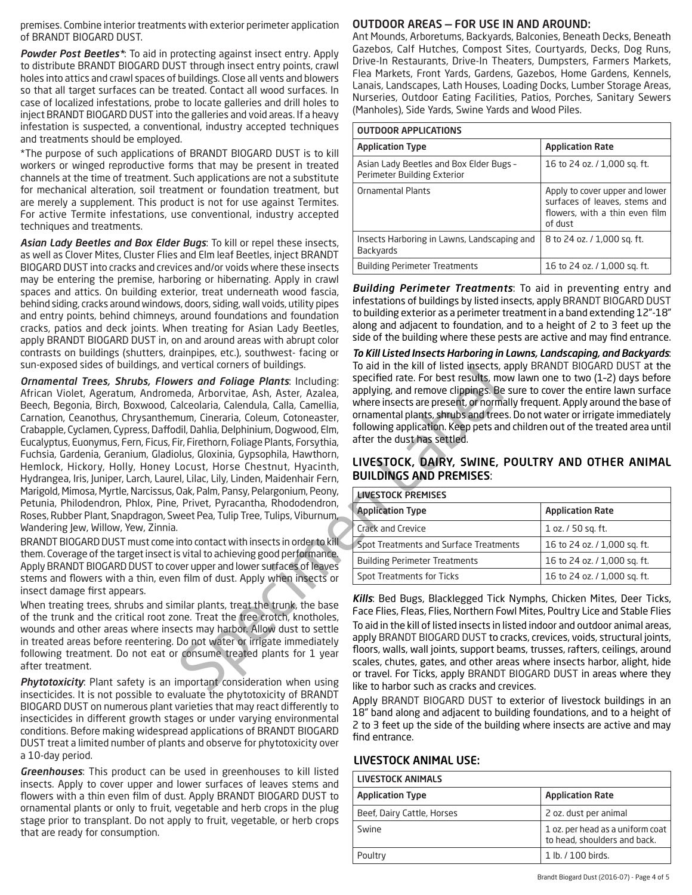premises. Combine interior treatments with exterior perimeter application of BRANDT BIOGARD DUST.

*Powder Post Beetles\**: To aid in protecting against insect entry. Apply to distribute BRANDT BIOGARD DUST through insect entry points, crawl holes into attics and crawl spaces of buildings. Close all vents and blowers so that all target surfaces can be treated. Contact all wood surfaces. In case of localized infestations, probe to locate galleries and drill holes to inject BRANDT BIOGARD DUST into the galleries and void areas. If a heavy infestation is suspected, a conventional, industry accepted techniques and treatments should be employed.

\*The purpose of such applications of BRANDT BIOGARD DUST is to kill workers or winged reproductive forms that may be present in treated channels at the time of treatment. Such applications are not a substitute for mechanical alteration, soil treatment or foundation treatment, but are merely a supplement. This product is not for use against Termites. For active Termite infestations, use conventional, industry accepted techniques and treatments.

*Asian Lady Beetles and Box Elder Bugs*: To kill or repel these insects, as well as Clover Mites, Cluster Flies and Elm leaf Beetles, inject BRANDT BIOGARD DUST into cracks and crevices and/or voids where these insects may be entering the premise, harboring or hibernating. Apply in crawl spaces and attics. On building exterior, treat underneath wood fascia, behind siding, cracks around windows, doors, siding, wall voids, utility pipes and entry points, behind chimneys, around foundations and foundation cracks, patios and deck joints. When treating for Asian Lady Beetles, apply BRANDT BIOGARD DUST in, on and around areas with abrupt color contrasts on buildings (shutters, drainpipes, etc.), southwest- facing or sun-exposed sides of buildings, and vertical corners of buildings.

vertical content of bidden Plants. Including:<br>
specified rate. For best results, means and Folidge Plants. Including:<br>
specified rate. For best results, means and Folidge Plants. Including:<br>
adiceolaria, Galendula, Calla, *Ornamental Trees, Shrubs, Flowers and Foliage Plants*: Including: African Violet, Ageratum, Andromeda, Arborvitae, Ash, Aster, Azalea, Beech, Begonia, Birch, Boxwood, Calceolaria, Calendula, Calla, Camellia, Carnation, Ceanothus, Chrysanthemum, Cineraria, Coleum, Cotoneaster, Crabapple, Cyclamen, Cypress, Daffodil, Dahlia, Delphinium, Dogwood, Elm, Eucalyptus, Euonymus, Fern, Ficus, Fir, Firethorn, Foliage Plants, Forsythia, Fuchsia, Gardenia, Geranium, Gladiolus, Gloxinia, Gypsophila, Hawthorn, Hemlock, Hickory, Holly, Honey Locust, Horse Chestnut, Hyacinth, Hydrangea, Iris, Juniper, Larch, Laurel, Lilac, Lily, Linden, Maidenhair Fern, Marigold, Mimosa, Myrtle, Narcissus, Oak, Palm, Pansy, Pelargonium, Peony, Petunia, Philodendron, Phlox, Pine, Privet, Pyracantha, Rhododendron, Roses, Rubber Plant, Snapdragon, Sweet Pea, Tulip Tree, Tulips, Viburnum, Wandering Jew, Willow, Yew, Zinnia.

BRANDT BIOGARD DUST must come into contact with insects in order to kill them. Coverage of the target insect is vital to achieving good performance. Apply BRANDT BIOGARD DUST to cover upper and lower surfaces of leaves stems and flowers with a thin, even film of dust. Apply when insects or insect damage first appears.

When treating trees, shrubs and similar plants, treat the trunk, the base of the trunk and the critical root zone. Treat the tree crotch, knotholes, wounds and other areas where insects may harbor. Allow dust to settle in treated areas before reentering. Do not water or irrigate immediately following treatment. Do not eat or consume treated plants for 1 year after treatment.

*Phytotoxicity*: Plant safety is an important consideration when using insecticides. It is not possible to evaluate the phytotoxicity of BRANDT BIOGARD DUST on numerous plant varieties that may react differently to insecticides in different growth stages or under varying environmental conditions. Before making widespread applications of BRANDT BIOGARD DUST treat a limited number of plants and observe for phytotoxicity over a 10-day period.

*Greenhouses*: This product can be used in greenhouses to kill listed insects. Apply to cover upper and lower surfaces of leaves stems and flowers with a thin even film of dust. Apply BRANDT BIOGARD DUST to ornamental plants or only to fruit, vegetable and herb crops in the plug stage prior to transplant. Do not apply to fruit, vegetable, or herb crops that are ready for consumption.

#### OUTDOOR AREAS — FOR USE IN AND AROUND:

Ant Mounds, Arboretums, Backyards, Balconies, Beneath Decks, Beneath Gazebos, Calf Hutches, Compost Sites, Courtyards, Decks, Dog Runs, Drive-In Restaurants, Drive-In Theaters, Dumpsters, Farmers Markets, Flea Markets, Front Yards, Gardens, Gazebos, Home Gardens, Kennels, Lanais, Landscapes, Lath Houses, Loading Docks, Lumber Storage Areas, Nurseries, Outdoor Eating Facilities, Patios, Porches, Sanitary Sewers (Manholes), Side Yards, Swine Yards and Wood Piles.

| <b>OUTDOOR APPLICATIONS</b>                                            |                                                                                                              |  |
|------------------------------------------------------------------------|--------------------------------------------------------------------------------------------------------------|--|
| <b>Application Type</b>                                                | <b>Application Rate</b>                                                                                      |  |
| Asian Lady Beetles and Box Elder Bugs -<br>Perimeter Building Exterior | 16 to 24 oz. / 1,000 sq. ft.                                                                                 |  |
| <b>Ornamental Plants</b>                                               | Apply to cover upper and lower<br>surfaces of leaves, stems and<br>flowers, with a thin even film<br>of dust |  |
| Insects Harboring in Lawns, Landscaping and<br><b>Backvards</b>        | 8 to 24 oz. / 1,000 sq. ft.                                                                                  |  |
| <b>Building Perimeter Treatments</b>                                   | 16 to 24 oz. / 1,000 sq. ft.                                                                                 |  |

*Building Perimeter Treatments*: To aid in preventing entry and infestations of buildings by listed insects, apply BRANDT BIOGARD DUST to building exterior as a perimeter treatment in a band extending 12"-18" along and adjacent to foundation, and to a height of 2 to 3 feet up the side of the building where these pests are active and may find entrance.

*To Kill Listed Insects Harboring in Lawns, Landscaping, and Backyards*: To aid in the kill of listed insects, apply BRANDT BIOGARD DUST at the specified rate. For best results, mow lawn one to two (1–2) days before applying, and remove clippings. Be sure to cover the entire lawn surface where insects are present, or normally frequent. Apply around the base of ornamental plants, shrubs and trees. Do not water or irrigate immediately following application. Keep pets and children out of the treated area until after the dust has settled.

#### LIVESTOCK, DAIRY, SWINE, POULTRY AND OTHER ANIMAL BUILDINGS AND PREMISES:

| <b>LIVESTOCK PREMISES</b>              |                              |  |
|----------------------------------------|------------------------------|--|
| <b>Application Type</b>                | <b>Application Rate</b>      |  |
| Crack and Crevice                      | 1 oz. / 50 sq. ft.           |  |
| Spot Treatments and Surface Treatments | 16 to 24 oz. / 1,000 sq. ft. |  |
| <b>Building Perimeter Treatments</b>   | 16 to 24 oz. / 1,000 sq. ft. |  |
| Spot Treatments for Ticks              | 16 to 24 oz. / 1,000 sq. ft. |  |

*Kills*: Bed Bugs, Blacklegged Tick Nymphs, Chicken Mites, Deer Ticks, Face Flies, Fleas, Flies, Northern Fowl Mites, Poultry Lice and Stable Flies To aid in the kill of listed insects in listed indoor and outdoor animal areas, apply BRANDT BIOGARD DUST to cracks, crevices, voids, structural joints, floors, walls, wall joints, support beams, trusses, rafters, ceilings, around scales, chutes, gates, and other areas where insects harbor, alight, hide or travel. For Ticks, apply BRANDT BIOGARD DUST in areas where they like to harbor such as cracks and crevices.

Apply BRANDT BIOGARD DUST to exterior of livestock buildings in an 18" band along and adjacent to building foundations, and to a height of 2 to 3 feet up the side of the building where insects are active and may find entrance.

#### LIVESTOCK ANIMAL USE:

| LIVESTOCK ANIMALS          |                                                                  |
|----------------------------|------------------------------------------------------------------|
| <b>Application Type</b>    | <b>Application Rate</b>                                          |
| Beef, Dairy Cattle, Horses | 2 oz. dust per animal                                            |
| Swine                      | 1 oz. per head as a uniform coat<br>to head, shoulders and back. |
| Poultry                    | 1 lb. / 100 birds.                                               |